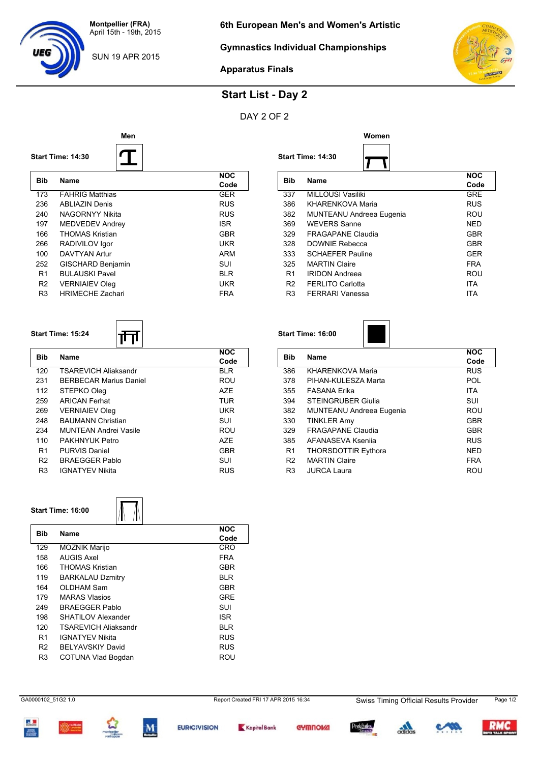**Montpellier (FRA)** April 15th - 19th, 2015

SUN 19 APR 2015

**Start Time: 14:30**

### **Gymnastics Individual Championships**



Code<br>GRE

 $\overline{\phantom{0}}$ 

**Apparatus Finals**

# **Start List - Day 2**

### DAY 2 OF 2

**Men Women**



#### **Start Time: 14:30**



| Bib            | <b>Name</b>              | <b>NOC</b><br>Code |
|----------------|--------------------------|--------------------|
| 173            | <b>FAHRIG Matthias</b>   | <b>GER</b>         |
| 236            | ABI IAZIN Denis          | <b>RUS</b>         |
| 240            | NAGORNYY Nikita          | <b>RUS</b>         |
| 197            | MEDVEDEV Andrey          | <b>ISR</b>         |
| 166            | <b>THOMAS Kristian</b>   | <b>GBR</b>         |
| 266            | RADIVILOV Igor           | <b>UKR</b>         |
| 100            | DAVTYAN Artur            | <b>ARM</b>         |
| 252            | <b>GISCHARD Benjamin</b> | SUI                |
| R <sub>1</sub> | <b>BULAUSKI Pavel</b>    | BI R               |
| R <sub>2</sub> | <b>VERNIAIEV Oleg</b>    | UKR                |
| R <sub>3</sub> | <b>HRIMECHE Zachari</b>  | <b>FRA</b>         |

#### **Start Time: 15:24**

| Bib            | <b>Name</b>                   | <b>NOC</b> |
|----------------|-------------------------------|------------|
|                |                               | Code       |
| 120            | TSARFVICH Aliaksandr          | <b>BLR</b> |
| 231            | <b>BERBECAR Marius Daniel</b> | ROU        |
| 112            | STEPKO Oleg                   | A7F        |
| 259            | <b>ARICAN Ferhat</b>          | <b>TUR</b> |
| 269            | <b>VERNIAIEV Oleg</b>         | <b>UKR</b> |
| 248            | <b>BAUMANN Christian</b>      | SUI        |
| 234            | MUNTEAN Andrei Vasile         | ROU        |
| 110            | PAKHNYUK Petro                | A7F        |
| R1             | PURVIS Daniel                 | GBR        |
| R <sub>2</sub> | <b>BRAFGGFR Pablo</b>         | SUI        |
| R <sub>3</sub> | <b>IGNATYFV Nikita</b>        | <b>RUS</b> |
|                |                               |            |

**Start Time: 16:00**

| Bib            | <b>Name</b>                | <b>NOC</b> |
|----------------|----------------------------|------------|
|                |                            | Code       |
| 386            | <b>KHARENKOVA Maria</b>    | <b>RUS</b> |
| 378            | PIHAN-KULESZA Marta        | <b>POL</b> |
| 355            | FASANA Erika               | <b>ITA</b> |
| 394            | <b>STEINGRUBER Giulia</b>  | SUI        |
| 382            | MUNTEANU Andreea Eugenia   | ROU        |
| 330            | <b>TINKLER Amy</b>         | <b>GBR</b> |
| 329            | <b>FRAGAPANE Claudia</b>   | <b>GBR</b> |
| 385            | AFANASEVA Ksenija          | <b>RUS</b> |
| R <sub>1</sub> | <b>THORSDOTTIR Eythora</b> | <b>NED</b> |
| R <sub>2</sub> | <b>MARTIN Claire</b>       | <b>FRA</b> |
| R <sub>3</sub> | <b>JURCA Laura</b>         | ROU        |

**Bib Name NOC**

337 MILLOUSI Vasiliki GRE<br>386 KHARENKOVA Maria GRUS RUS

382 MUNTEANU Andreea Eugenia ROU 369 WEVERS Sanne NED 329 FRAGAPANE Claudia GBR 328 DOWNIE Rebecca GBR 333 SCHAEFER Pauline GER 325 MARTIN Claire **FRA** R1 IRIDON Andreea ROU R2 FERLITO Carlotta ITA

KHARENKOVA Maria

FERRARI Vanessa

#### **Start Time: 16:00**

 $\overline{\Lambda}$ 

| <b>NOC</b> |
|------------|
|            |
| Code       |
| <b>CRO</b> |
| <b>FRA</b> |
| <b>GBR</b> |
| BLR        |
| GBR        |
| GRE        |
| SUI        |
| <b>ISR</b> |
| BLR        |
| RUS        |
| RUS        |
| ROU        |
|            |
|            |

GA0000102\_51G2 1.0 Report Created FRI 17 APR 2015 16:34 Swiss Timing Official Results Provider Page 1/2